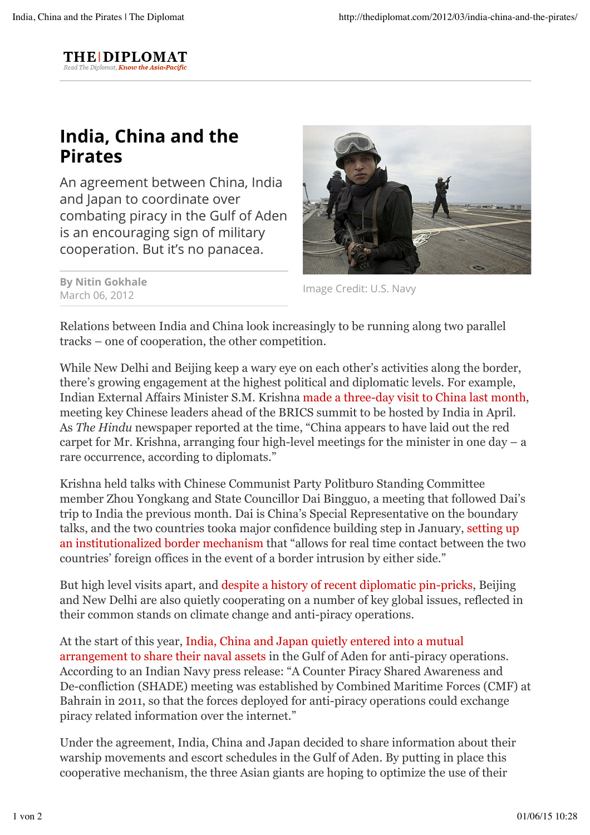**THE DIPLOMAT** The Diplomat, Know the Asia-Pacific

## India, China and the Pirates

An agreement between China, India and Japan to coordinate over combating piracy in the Gulf of Aden is an encouraging sign of military cooperation. But it's no panacea.



Image Credit: U.S. Navy

By Nitin Gokhale March 06, 2012

Relations between India and China look increasingly to be running along two parallel tracks – one of cooperation, the other competition.

While New Delhi and Beijing keep a wary eye on each other's activities along the border, there's growing engagement at the highest political and diplomatic levels. For example, Indian External Affairs Minister S.M. Krishna made a three-day visit to China last month, meeting key Chinese leaders ahead of the BRICS summit to be hosted by India in April. As *The Hindu* newspaper reported at the time, "China appears to have laid out the red carpet for Mr. Krishna, arranging four high-level meetings for the minister in one day – a rare occurrence, according to diplomats."

Krishna held talks with Chinese Communist Party Politburo Standing Committee member Zhou Yongkang and State Councillor Dai Bingguo, a meeting that followed Dai's trip to India the previous month. Dai is China's Special Representative on the boundary talks, and the two countries tooka major confidence building step in January, setting up an institutionalized border mechanism that "allows for real time contact between the two countries' foreign offices in the event of a border intrusion by either side."

But high level visits apart, and despite a history of recent diplomatic pin-pricks, Beijing and New Delhi are also quietly cooperating on a number of key global issues, reflected in their common stands on climate change and anti-piracy operations.

At the start of this year, India, China and Japan quietly entered into a mutual arrangement to share their naval assets in the Gulf of Aden for anti-piracy operations. According to an Indian Navy press release: "A Counter Piracy Shared Awareness and De-confliction (SHADE) meeting was established by Combined Maritime Forces (CMF) at Bahrain in 2011, so that the forces deployed for anti-piracy operations could exchange piracy related information over the internet."

Under the agreement, India, China and Japan decided to share information about their warship movements and escort schedules in the Gulf of Aden. By putting in place this cooperative mechanism, the three Asian giants are hoping to optimize the use of their